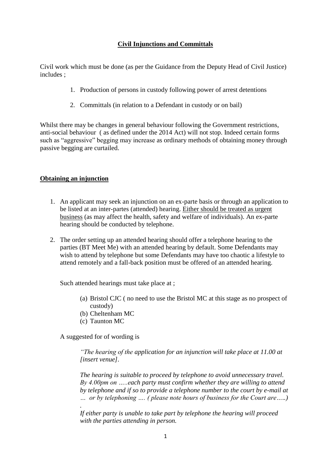# **Civil Injunctions and Committals**

Civil work which must be done (as per the Guidance from the Deputy Head of Civil Justice) includes ;

- 1. Production of persons in custody following power of arrest detentions
- 2. Committals (in relation to a Defendant in custody or on bail)

Whilst there may be changes in general behaviour following the Government restrictions, anti-social behaviour ( as defined under the 2014 Act) will not stop. Indeed certain forms such as "aggressive" begging may increase as ordinary methods of obtaining money through passive begging are curtailed.

## **Obtaining an injunction**

- 1. An applicant may seek an injunction on an ex-parte basis or through an application to be listed at an inter-partes (attended) hearing. Either should be treated as urgent business (as may affect the health, safety and welfare of individuals). An ex-parte hearing should be conducted by telephone.
- 2. The order setting up an attended hearing should offer a telephone hearing to the parties (BT Meet Me) with an attended hearing by default. Some Defendants may wish to attend by telephone but some Defendants may have too chaotic a lifestyle to attend remotely and a fall-back position must be offered of an attended hearing.

Such attended hearings must take place at ;

- (a) Bristol CJC ( no need to use the Bristol MC at this stage as no prospect of custody)
- (b) Cheltenham MC
- (c) Taunton MC

A suggested for of wording is

*.*

*"The hearing of the application for an injunction will take place at 11.00 at [insert venue].*

*The hearing is suitable to proceed by telephone to avoid unnecessary travel. By 4.00pm on …..each party must confirm whether they are willing to attend by telephone and if so to provide a telephone number to the court by e-mail at … or by telephoning …. ( please note hours of business for the Court are…..)*

*If either party is unable to take part by telephone the hearing will proceed with the parties attending in person.*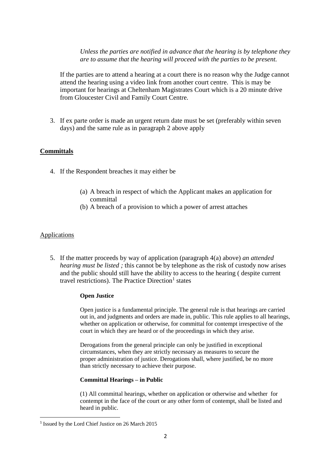*Unless the parties are notified in advance that the hearing is by telephone they are to assume that the hearing will proceed with the parties to be present.* 

If the parties are to attend a hearing at a court there is no reason why the Judge cannot attend the hearing using a video link from another court centre. This is may be important for hearings at Cheltenham Magistrates Court which is a 20 minute drive from Gloucester Civil and Family Court Centre.

3. If ex parte order is made an urgent return date must be set (preferably within seven days) and the same rule as in paragraph 2 above apply

## **Committals**

- 4. If the Respondent breaches it may either be
	- (a) A breach in respect of which the Applicant makes an application for committal
	- (b) A breach of a provision to which a power of arrest attaches

### Applications

**.** 

5. If the matter proceeds by way of application (paragraph 4(a) above) *an attended hearing must be listed ;* this cannot be by telephone as the risk of custody now arises and the public should still have the ability to access to the hearing ( despite current travel restrictions). The Practice Direction<sup>1</sup> states

#### **Open Justice**

Open justice is a fundamental principle. The general rule is that hearings are carried out in, and judgments and orders are made in, public. This rule applies to all hearings, whether on application or otherwise, for committal for contempt irrespective of the court in which they are heard or of the proceedings in which they arise.

Derogations from the general principle can only be justified in exceptional circumstances, when they are strictly necessary as measures to secure the proper administration of justice. Derogations shall, where justified, be no more than strictly necessary to achieve their purpose.

#### **Committal Hearings – in Public**

(1) All committal hearings, whether on application or otherwise and whether for contempt in the face of the court or any other form of contempt, shall be listed and heard in public.

<sup>&</sup>lt;sup>1</sup> Issued by the Lord Chief Justice on 26 March 2015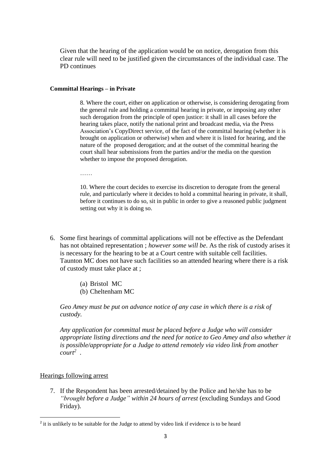Given that the hearing of the application would be on notice, derogation from this clear rule will need to be justified given the circumstances of the individual case. The PD continues

#### **Committal Hearings – in Private**

8. Where the court, either on application or otherwise, is considering derogating from the general rule and holding a committal hearing in private, or imposing any other such derogation from the principle of open justice: it shall in all cases before the hearing takes place, notify the national print and broadcast media, via the Press Association's CopyDirect service, of the fact of the committal hearing (whether it is brought on application or otherwise) when and where it is listed for hearing, and the nature of the proposed derogation; and at the outset of the committal hearing the court shall hear submissions from the parties and/or the media on the question whether to impose the proposed derogation.

……

10. Where the court decides to exercise its discretion to derogate from the general rule, and particularly where it decides to hold a committal hearing in private, it shall, before it continues to do so, sit in public in order to give a reasoned public judgment setting out why it is doing so.

- 6. Some first hearings of committal applications will not be effective as the Defendant has not obtained representation ; *however some will be*. As the risk of custody arises it is necessary for the hearing to be at a Court centre with suitable cell facilities. Taunton MC does not have such facilities so an attended hearing where there is a risk of custody must take place at ;
	- (a) Bristol MC
	- (b) Cheltenham MC

*Geo Amey must be put on advance notice of any case in which there is a risk of custody.*

*Any application for committal must be placed before a Judge who will consider appropriate listing directions and the need for notice to Geo Amey and also whether it is possible/appropriate for a Judge to attend remotely via video link from another court<sup>2</sup>* .

### Hearings following arrest

**.** 

7. If the Respondent has been arrested/detained by the Police and he/she has to be *"brought before a Judge" within 24 hours of arrest* (excluding Sundays and Good Friday).

<sup>&</sup>lt;sup>2</sup> it is unlikely to be suitable for the Judge to attend by video link if evidence is to be heard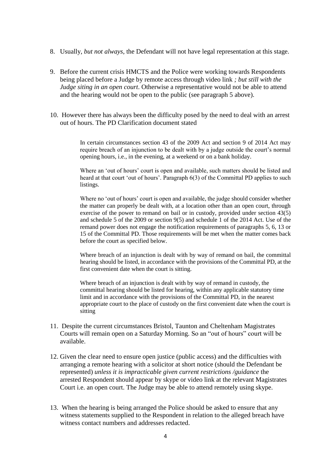- 8. Usually, *but not always*, the Defendant will not have legal representation at this stage.
- 9. Before the current crisis HMCTS and the Police were working towards Respondents being placed before a Judge by remote access through video link *; but still with the Judge siting in an open court*. Otherwise a representative would not be able to attend and the hearing would not be open to the public (see paragraph 5 above).
- 10. However there has always been the difficulty posed by the need to deal with an arrest out of hours. The PD Clarification document stated

In certain circumstances section 43 of the 2009 Act and section 9 of 2014 Act may require breach of an injunction to be dealt with by a judge outside the court's normal opening hours, i.e., in the evening, at a weekend or on a bank holiday.

Where an 'out of hours' court is open and available, such matters should be listed and heard at that court 'out of hours'. Paragraph 6(3) of the Committal PD applies to such listings.

Where no 'out of hours' court is open and available, the judge should consider whether the matter can properly be dealt with, at a location other than an open court, through exercise of the power to remand on bail or in custody, provided under section 43(5) and schedule 5 of the 2009 or section 9(5) and schedule 1 of the 2014 Act. Use of the remand power does not engage the notification requirements of paragraphs 5, 6, 13 or 15 of the Committal PD. Those requirements will be met when the matter comes back before the court as specified below.

Where breach of an injunction is dealt with by way of remand on bail, the committal hearing should be listed, in accordance with the provisions of the Committal PD, at the first convenient date when the court is sitting.

Where breach of an injunction is dealt with by way of remand in custody, the committal hearing should be listed for hearing, within any applicable statutory time limit and in accordance with the provisions of the Committal PD, in the nearest appropriate court to the place of custody on the first convenient date when the court is sitting

- 11. Despite the current circumstances Bristol, Taunton and Cheltenham Magistrates Courts will remain open on a Saturday Morning. So an "out of hours" court will be available.
- 12. Given the clear need to ensure open justice (public access) and the difficulties with arranging a remote hearing with a solicitor at short notice (should the Defendant be represented) *unless it is impracticable given current restrictions /guidance* the arrested Respondent should appear by skype or video link at the relevant Magistrates Court i.e. an open court. The Judge may be able to attend remotely using skype.
- 13. When the hearing is being arranged the Police should be asked to ensure that any witness statements supplied to the Respondent in relation to the alleged breach have witness contact numbers and addresses redacted.